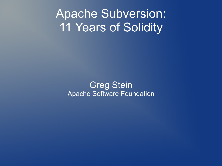#### Apache Subversion: 11 Years of Solidity

Greg Stein Apache Software Foundation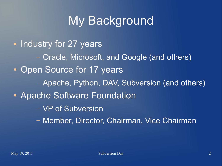## My Background

- Industry for 27 years – Oracle, Microsoft, and Google (and others) • Open Source for 17 years – Apache, Python, DAV, Subversion (and others) • Apache Software Foundation – VP of Subversion
	- Member, Director, Chairman, Vice Chairman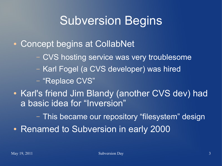## Subversion Begins

• Concept begins at CollabNet

- CVS hosting service was very troublesome
- Karl Fogel (a CVS developer) was hired
- "Replace CVS"
- Karl's friend Jim Blandy (another CVS dev) had a basic idea for "Inversion"

– This became our repository "filesystem" design

• Renamed to Subversion in early 2000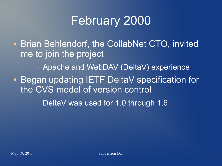## February 2000

• Brian Behlendorf, the CollabNet CTO, invited me to join the project

– Apache and WebDAV (DeltaV) experience

• Began updating IETF DeltaV specification for the CVS model of version control

– DeltaV was used for 1.0 through 1.6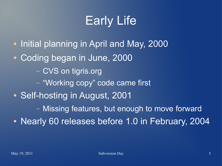# Early Life

- Initial planning in April and May, 2000
- Coding began in June, 2000
	- CVS on tigris.org
	- "Working copy" code came first
- Self-hosting in August, 2001
	- Missing features, but enough to move forward
- Nearly 60 releases before 1.0 in February, 2004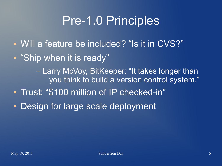## Pre-1.0 Principles

- Will a feature be included? "Is it in CVS?"
- "Ship when it is ready"

– Larry McVoy, BitKeeper: "It takes longer than you think to build a version control system."

- Trust: "\$100 million of IP checked-in"
- Design for large scale deployment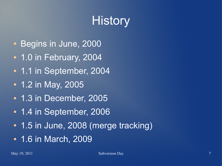# **History**

- Begins in June, 2000
- 1.0 in February, 2004
- 1.1 in September, 2004
- 1.2 in May, 2005
- 1.3 in December, 2005
- 1.4 in September, 2006
- 1.5 in June, 2008 (merge tracking)
- 1.6 in March, 2009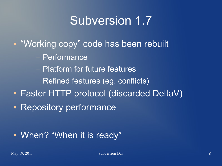## Subversion 1.7

- "Working copy" code has been rebuilt
	- Performance
	- Platform for future features
	- Refined features (eg. conflicts)
- Faster HTTP protocol (discarded DeltaV)
- Repository performance

#### • When? "When it is ready"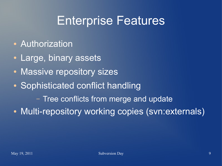#### Enterprise Features

- Authorization
- Large, binary assets
- Massive repository sizes
- Sophisticated conflict handling

– Tree conflicts from merge and update

• Multi-repository working copies (svn:externals)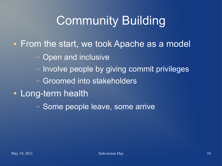# Community Building

- From the start, we took Apache as a model
	- Open and inclusive
	- Involve people by giving commit privileges
	- Groomed into stakeholders
- Long-term health
	- Some people leave, some arrive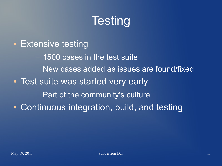# **Testing**

• Extensive testing – 1500 cases in the test suite – New cases added as issues are found/fixed • Test suite was started very early – Part of the community's culture • Continuous integration, build, and testing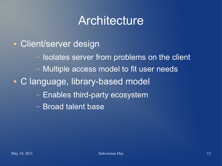#### **Architecture**

- Client/server design
	- Isolates server from problems on the client
	- Multiple access model to fit user needs
- C language, library-based model
	- Enables third-party ecosystem
	- Broad talent base